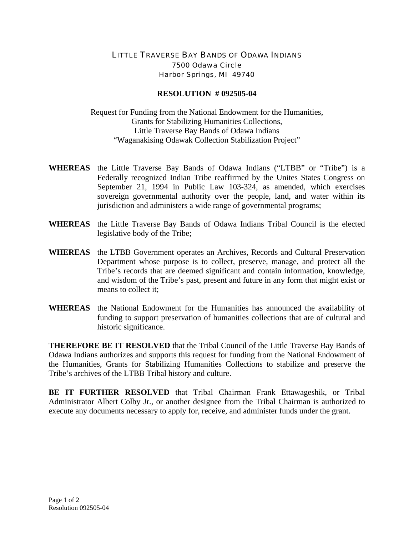## LITTLE TRAVERSE BAY BANDS OF ODAWA INDIANS 7500 Odawa Circle Harbor Springs, MI 49740

## **RESOLUTION # 092505-04**

Request for Funding from the National Endowment for the Humanities, Grants for Stabilizing Humanities Collections, Little Traverse Bay Bands of Odawa Indians "Waganakising Odawak Collection Stabilization Project"

- **WHEREAS** the Little Traverse Bay Bands of Odawa Indians ("LTBB" or "Tribe") is a Federally recognized Indian Tribe reaffirmed by the Unites States Congress on September 21, 1994 in Public Law 103-324, as amended, which exercises sovereign governmental authority over the people, land, and water within its jurisdiction and administers a wide range of governmental programs;
- **WHEREAS** the Little Traverse Bay Bands of Odawa Indians Tribal Council is the elected legislative body of the Tribe;
- **WHEREAS** the LTBB Government operates an Archives, Records and Cultural Preservation Department whose purpose is to collect, preserve, manage, and protect all the Tribe's records that are deemed significant and contain information, knowledge, and wisdom of the Tribe's past, present and future in any form that might exist or means to collect it;
- **WHEREAS** the National Endowment for the Humanities has announced the availability of funding to support preservation of humanities collections that are of cultural and historic significance.

**THEREFORE BE IT RESOLVED** that the Tribal Council of the Little Traverse Bay Bands of Odawa Indians authorizes and supports this request for funding from the National Endowment of the Humanities, Grants for Stabilizing Humanities Collections to stabilize and preserve the Tribe's archives of the LTBB Tribal history and culture.

**BE IT FURTHER RESOLVED** that Tribal Chairman Frank Ettawageshik, or Tribal Administrator Albert Colby Jr., or another designee from the Tribal Chairman is authorized to execute any documents necessary to apply for, receive, and administer funds under the grant.